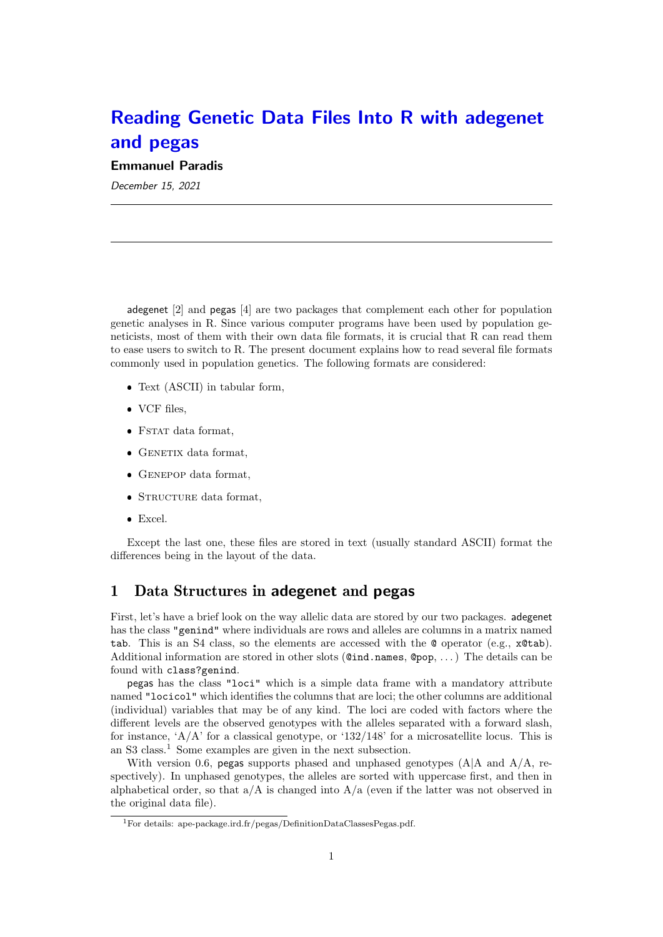# Reading Genetic Data Files Into R with adegenet and pegas

Emmanuel Paradis

December 15, 2021

adegenet [2] and pegas [4] are two packages that complement each other for population genetic analyses in R. Since various computer programs have been used by population geneticists, most of them with their own data file formats, it is crucial that R can read them to ease users to switch to R. The present document explains how to read several file formats commonly used in population genetics. The following formats are considered:

- Text (ASCII) in tabular form,
- VCF files,
- FSTAT data format,
- $\bullet$  GENETIX data format,
- GENEPOP data format,
- STRUCTURE data format,
- Excel.

Except the last one, these files are stored in text (usually standard ASCII) format the differences being in the layout of the data.

# 1 Data Structures in adegenet and pegas

First, let's have a brief look on the way allelic data are stored by our two packages. adegenet has the class "genind" where individuals are rows and alleles are columns in a matrix named tab. This is an S4 class, so the elements are accessed with the  $\mathbf{\mathcal{Q}}$  operator (e.g.,  $\mathbf{\mathcal{R}}$ tab). Additional information are stored in other slots  $(@ind.name, @pop, ...)$  The details can be found with class?genind.

pegas has the class "loci" which is a simple data frame with a mandatory attribute named "locicol" which identifies the columns that are loci; the other columns are additional (individual) variables that may be of any kind. The loci are coded with factors where the different levels are the observed genotypes with the alleles separated with a forward slash, for instance,  $A/A$  for a classical genotype, or  $132/148$  for a microsatellite locus. This is an S3 class.<sup>1</sup> Some examples are given in the next subsection.

With version 0.6, pegas supports phased and unphased genotypes  $(A|A \text{ and } A/A)$ , respectively). In unphased genotypes, the alleles are sorted with uppercase first, and then in alphabetical order, so that  $a/A$  is changed into  $A/a$  (even if the latter was not observed in the original data file).

<sup>1</sup>For details: ape-package.ird.fr/pegas/DefinitionDataClassesPegas.pdf.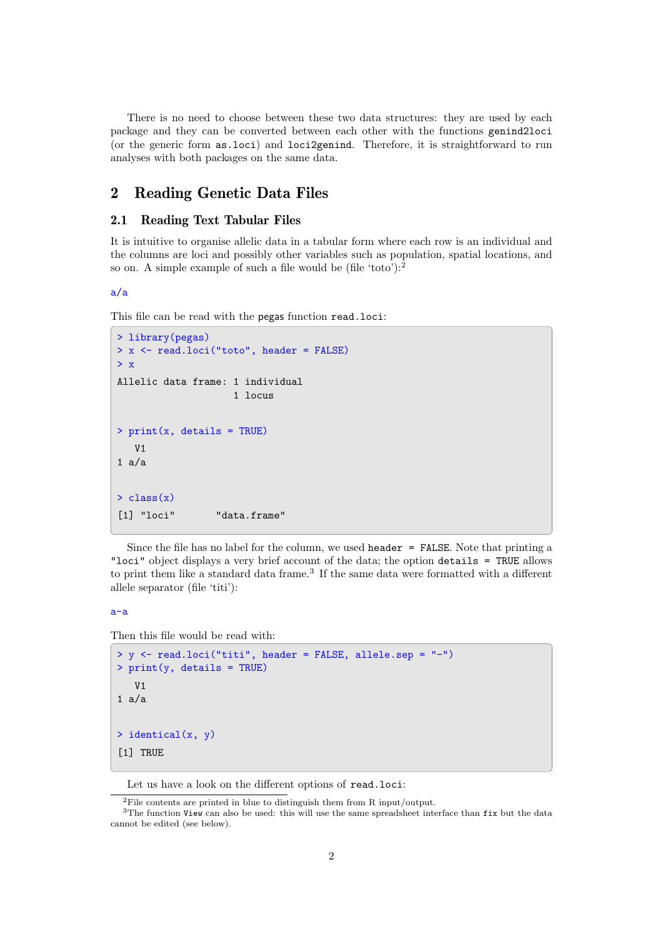There is no need to choose between these two data structures: they are used by each package and they can be converted between each other with the functions genind2loci (or the generic form as.loci) and loci2genind. Therefore, it is straightforward to run analyses with both packages on the same data.

## 2 Reading Genetic Data Files

#### 2.1 Reading Text Tabular Files

It is intuitive to organise allelic data in a tabular form where each row is an individual and the columns are loci and possibly other variables such as population, spatial locations, and so on. A simple example of such a file would be (file 'toto'):<sup>2</sup>

#### a/a

This file can be read with the pegas function read.loci:

```
> library(pegas)
> x <- read.loci("toto", header = FALSE)
\rightarrow xAllelic data frame: 1 individual
                      1 locus
> print(x, details = TRUE)
   V<sub>1</sub>1 a/a
> class(x)[1] "loci" "data.frame"
```
Since the file has no label for the column, we used  $\texttt{header} = \texttt{FALSE}$ . Note that printing a "loci" object displays a very brief account of the data; the option details = TRUE allows to print them like a standard data frame.<sup>3</sup> If the same data were formatted with a different allele separator (file 'titi'):

a-a

Then this file would be read with:

```
> y <- read.loci("titi", header = FALSE, allele.sep = "-")
> print(y, details = TRUE)
   V<sub>1</sub>1 a/a
> identical(x, y)
[1] TRUE
```
Let us have a look on the different options of read.loci:

<sup>2</sup>File contents are printed in blue to distinguish them from R input/output.

<sup>&</sup>lt;sup>3</sup>The function View can also be used: this will use the same spreadsheet interface than fix but the data cannot be edited (see below).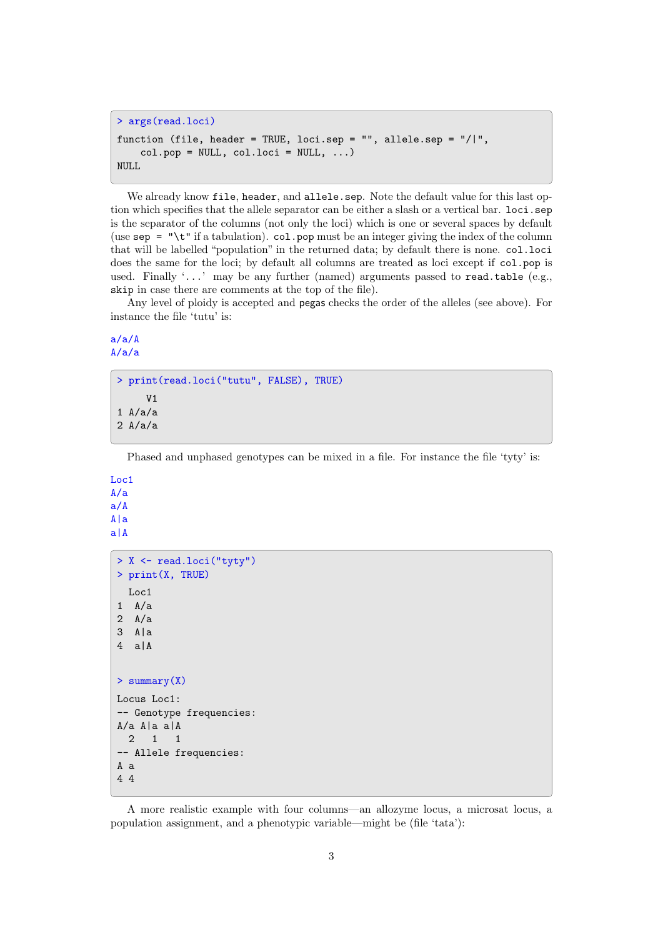```
> args(read.loci)
function (file, header = TRUE, loci.sep = "", allele.sep = "/|",
    col.pop = NULL, col.loci = NULL, ...)NULL
```
We already know file, header, and allele.sep. Note the default value for this last option which specifies that the allele separator can be either a slash or a vertical bar. loci.sep is the separator of the columns (not only the loci) which is one or several spaces by default (use  $\text{sep} = \text{``}\text{'t''}$  if a tabulation). col.pop must be an integer giving the index of the column that will be labelled "population" in the returned data; by default there is none. col.loci does the same for the loci; by default all columns are treated as loci except if col.pop is used. Finally '...' may be any further (named) arguments passed to read.table (e.g., skip in case there are comments at the top of the file).

Any level of ploidy is accepted and pegas checks the order of the alleles (see above). For instance the file 'tutu' is:

a/a/A A/a/a

```
> print(read.loci("tutu", FALSE), TRUE)
      V<sub>1</sub>1 A/a/a2 A/a/a
```
Phased and unphased genotypes can be mixed in a file. For instance the file 'tyty' is:

```
Loc1
A/a
a/A
A|a
a|A
 > X <- read.loci("tyty")
 > print(X, TRUE)
   Loc1
 1 A/a
 2 A/a
 3 A|a
 4 a|A
 > summary(X)
 Locus Loc1:
 -- Genotype frequencies:
 A/a A|a a|A
  2 1 1
 -- Allele frequencies:
 A a
 4 4
```
A more realistic example with four columns—an allozyme locus, a microsat locus, a population assignment, and a phenotypic variable—might be (file 'tata'):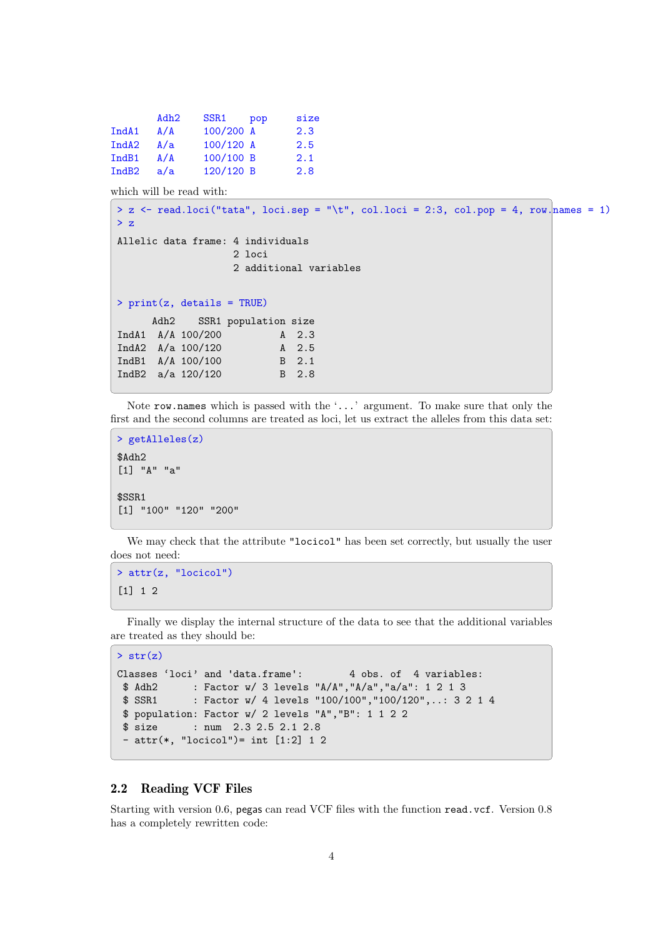|                   | Adh2 | SSR1      | pop | size |
|-------------------|------|-----------|-----|------|
| Ind <sub>A1</sub> | A/A  | 100/200 A |     | 2.3  |
| Ind <sub>A2</sub> | A/a  | 100/120 A |     | 2.5  |
| IndB1             | A/A  | 100/100 B |     | 2.1  |
| IndB <sub>2</sub> | a/a  | 120/120 B |     | 2.8  |

which will be read with:

```
> z <- read.loci("tata", loci.sep = "\t", col.loci = 2:3, col.pop = 4, row.names = 1)
\rightarrow z
Allelic data frame: 4 individuals
                    2 \text{·}2 additional variables
> print(z, details = TRUE)
      Adh2 SSR1 population size
IndA1 A/A 100/200 A 2.3
IndA2 A/a 100/120 A 2.5<br>
IndB1 A/A 100/100 B 2.1
IndB1 A/A 100/100
IndB2 a/a 120/120 B 2.8
```
Note row.names which is passed with the '...' argument. To make sure that only the first and the second columns are treated as loci, let us extract the alleles from this data set:

```
> getAlleles(z)
$Adh2
[1] "A" "a"
$SSR1
[1] "100" "120" "200"
```
We may check that the attribute "locicol" has been set correctly, but usually the user does not need:

```
> attr(z, "locicol")
[1] 1 2
```
Finally we display the internal structure of the data to see that the additional variables are treated as they should be:

```
> str(z)
```

```
Classes 'loci' and 'data.frame': 4 obs. of 4 variables:
$ Adh2 : Factor w/ 3 levels "A/A","A/a","a/a": 1 2 1 3
$ SSR1 : Factor w/ 4 levels "100/100","100/120",..: 3 2 1 4
$ population: Factor w/ 2 levels "A","B": 1 1 2 2
$ size : num 2.3 2.5 2.1 2.8
 - attr(*, "locicol")= int [1:2] 1 2
```
### 2.2 Reading VCF Files

Starting with version 0.6, pegas can read VCF files with the function read.vcf. Version 0.8 has a completely rewritten code: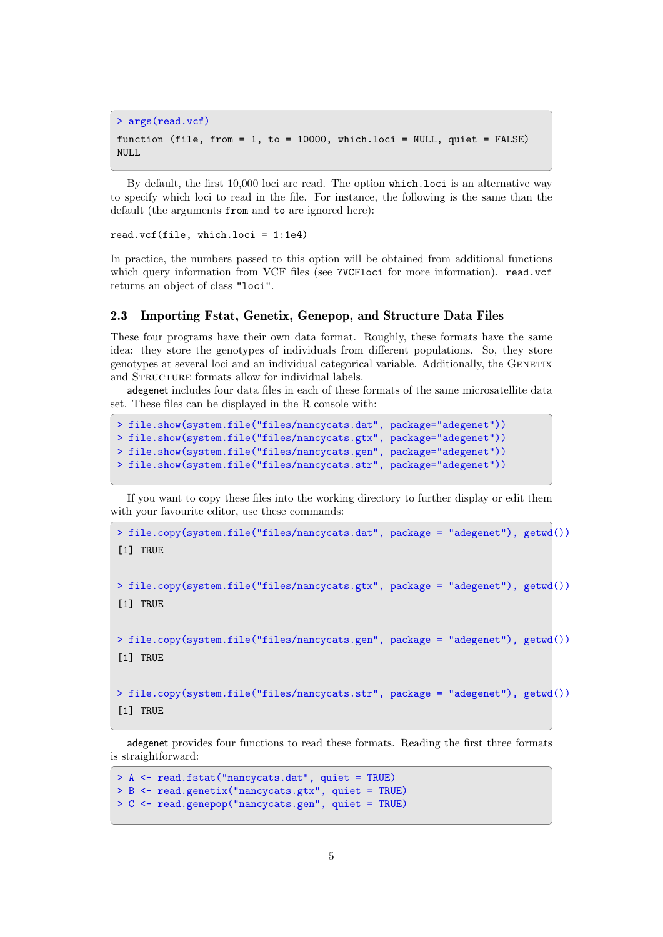```
> args(read.vcf)
function (file, from = 1, to = 10000, which.loci = NULL, quiet = FALSE)
NULL
```
By default, the first 10,000 loci are read. The option which.loci is an alternative way to specify which loci to read in the file. For instance, the following is the same than the default (the arguments from and to are ignored here):

read.vcf(file, which.loci = 1:1e4)

In practice, the numbers passed to this option will be obtained from additional functions which query information from VCF files (see ?VCFloci for more information). read.vcf returns an object of class "loci".

#### 2.3 Importing Fstat, Genetix, Genepop, and Structure Data Files

These four programs have their own data format. Roughly, these formats have the same idea: they store the genotypes of individuals from different populations. So, they store genotypes at several loci and an individual categorical variable. Additionally, the GENETIX and STRUCTURE formats allow for individual labels.

adegenet includes four data files in each of these formats of the same microsatellite data set. These files can be displayed in the R console with:

```
> file.show(system.file("files/nancycats.dat", package="adegenet"))
> file.show(system.file("files/nancycats.gtx", package="adegenet"))
> file.show(system.file("files/nancycats.gen", package="adegenet"))
> file.show(system.file("files/nancycats.str", package="adegenet"))
```
If you want to copy these files into the working directory to further display or edit them with your favourite editor, use these commands:

```
> file.copy(system.file("files/nancycats.dat", package = "adegenet"), getwd())
[1] TRUE
> file.copy(system.file("files/nancycats.gtx", package = "adegenet"), getwd())
[1] TRUE
> file.copy(system.file("files/nancycats.gen", package = "adegenet"), getwd())
[1] TRUE
> file.copy(system.file("files/nancycats.str", package = "adegenet"), getwd())
[1] TRUE
```
adegenet provides four functions to read these formats. Reading the first three formats is straightforward:

```
> A <- read.fstat("nancycats.dat", quiet = TRUE)
> B <- read.genetix("nancycats.gtx", quiet = TRUE)
> C <- read.genepop("nancycats.gen", quiet = TRUE)
```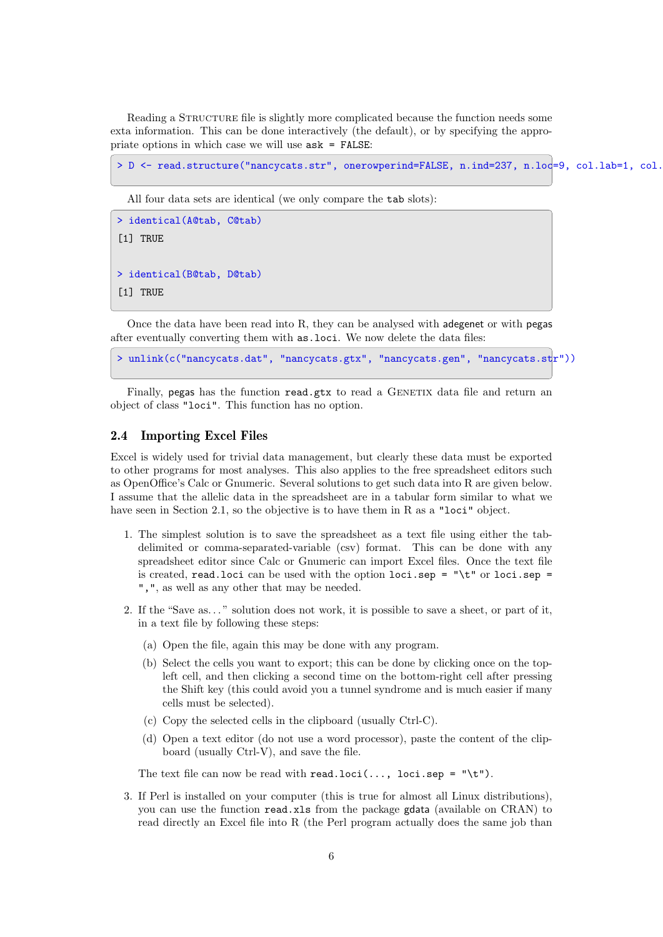Reading a STRUCTURE file is slightly more complicated because the function needs some exta information. This can be done interactively (the default), or by specifying the appropriate options in which case we will use ask = FALSE:

```
> D <- read.structure("nancycats.str", onerowperind=FALSE, n.ind=237, n.lod=9, col.lab=1, col.
```
All four data sets are identical (we only compare the tab slots):

```
> identical(A@tab, C@tab)
[1] TRUE
> identical(B@tab, D@tab)
[1] TRUE
```
Once the data have been read into R, they can be analysed with adegenet or with pegas after eventually converting them with as.loci. We now delete the data files:

> unlink(c("nancycats.dat", "nancycats.gtx", "nancycats.gen", "nancycats.str"))

Finally, pegas has the function read.gtx to read a GENETIX data file and return an object of class "loci". This function has no option.

#### 2.4 Importing Excel Files

Excel is widely used for trivial data management, but clearly these data must be exported to other programs for most analyses. This also applies to the free spreadsheet editors such as OpenOffice's Calc or Gnumeric. Several solutions to get such data into R are given below. I assume that the allelic data in the spreadsheet are in a tabular form similar to what we have seen in Section 2.1, so the objective is to have them in R as a "loci" object.

- 1. The simplest solution is to save the spreadsheet as a text file using either the tabdelimited or comma-separated-variable (csv) format. This can be done with any spreadsheet editor since Calc or Gnumeric can import Excel files. Once the text file is created, read.loci can be used with the option  $loci$ .sep = "\t" or loci.sep = ",", as well as any other that may be needed.
- 2. If the "Save as. . . " solution does not work, it is possible to save a sheet, or part of it, in a text file by following these steps:
	- (a) Open the file, again this may be done with any program.
	- (b) Select the cells you want to export; this can be done by clicking once on the topleft cell, and then clicking a second time on the bottom-right cell after pressing the Shift key (this could avoid you a tunnel syndrome and is much easier if many cells must be selected).
	- (c) Copy the selected cells in the clipboard (usually Ctrl-C).
	- (d) Open a text editor (do not use a word processor), paste the content of the clipboard (usually Ctrl-V), and save the file.

The text file can now be read with read.loci(..., loci.sep = "\t").

3. If Perl is installed on your computer (this is true for almost all Linux distributions), you can use the function read.xls from the package gdata (available on CRAN) to read directly an Excel file into R (the Perl program actually does the same job than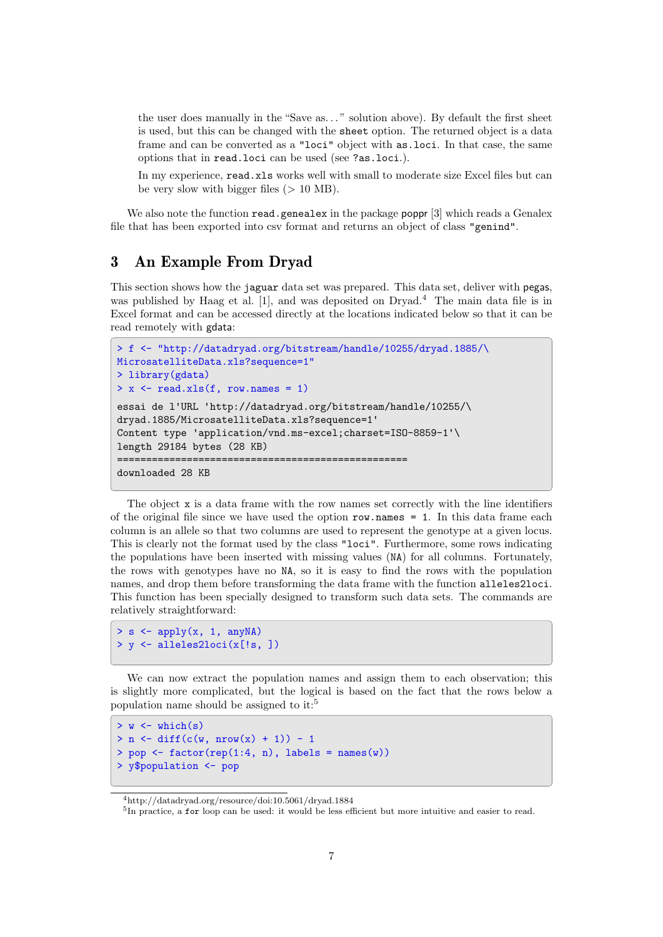the user does manually in the "Save as. . . " solution above). By default the first sheet is used, but this can be changed with the sheet option. The returned object is a data frame and can be converted as a "loci" object with as.loci. In that case, the same options that in read.loci can be used (see ?as.loci.).

In my experience, read.xls works well with small to moderate size Excel files but can be very slow with bigger files  $(> 10 \text{ MB})$ .

We also note the function read.genealex in the package poppr [3] which reads a Genalex file that has been exported into csv format and returns an object of class "genind".

# 3 An Example From Dryad

This section shows how the jaguar data set was prepared. This data set, deliver with pegas, was published by Haag et al. [1], and was deposited on Dryad.<sup>4</sup> The main data file is in Excel format and can be accessed directly at the locations indicated below so that it can be read remotely with gdata:

```
> f <- "http://datadryad.org/bitstream/handle/10255/dryad.1885/\
MicrosatelliteData.xls?sequence=1"
> library(gdata)
> x <- read.xls(f, row.names = 1)
essai de l'URL 'http://datadryad.org/bitstream/handle/10255/\
dryad.1885/MicrosatelliteData.xls?sequence=1'
Content type 'application/vnd.ms-excel;charset=ISO-8859-1'\
length 29184 bytes (28 KB)
==================================================
downloaded 28 KB
```
The object x is a data frame with the row names set correctly with the line identifiers of the original file since we have used the option  $row.name = 1$ . In this data frame each column is an allele so that two columns are used to represent the genotype at a given locus. This is clearly not the format used by the class "loci". Furthermore, some rows indicating the populations have been inserted with missing values (NA) for all columns. Fortunately, the rows with genotypes have no NA, so it is easy to find the rows with the population names, and drop them before transforming the data frame with the function alleles2loci. This function has been specially designed to transform such data sets. The commands are relatively straightforward:

```
> s <- apply(x, 1, anyNA)
> y <- alleles2loci(x[!s, ])
```
We can now extract the population names and assign them to each observation; this is slightly more complicated, but the logical is based on the fact that the rows below a population name should be assigned to it:<sup>5</sup>

```
> w < - which(s)
> n \le \text{diff}(c(w, nrow(x) + 1)) - 1> pop \leq factor(rep(1:4, n), labels = names(w))
> y$population <- pop
```
<sup>4</sup>http://datadryad.org/resource/doi:10.5061/dryad.1884

<sup>&</sup>lt;sup>5</sup>In practice, a for loop can be used: it would be less efficient but more intuitive and easier to read.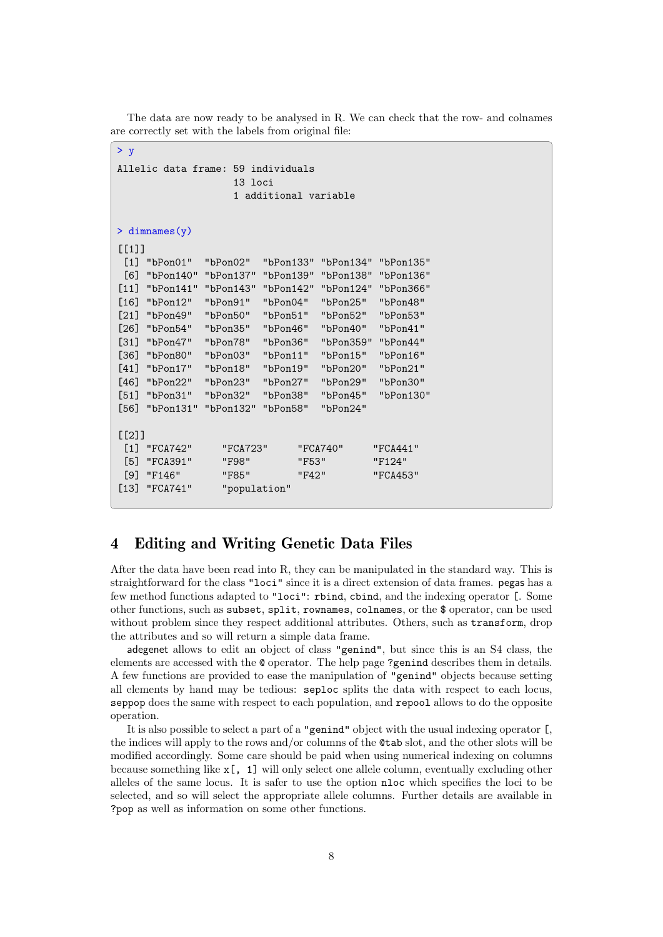The data are now ready to be analysed in R. We can check that the row- and colnames are correctly set with the labels from original file:

```
> yAllelic data frame: 59 individuals
                  13 loci
                  1 additional variable
> dimnames(y)
[[1][1] "bPon01" "bPon02" "bPon133" "bPon134" "bPon135"
 [6] "bPon140" "bPon137" "bPon139" "bPon138" "bPon136"
[11] "bPon141" "bPon143" "bPon142" "bPon124" "bPon366"
[16] "bPon12" "bPon91" "bPon04" "bPon25" "bPon48"
[21] "bPon49" "bPon50" "bPon51" "bPon52" "bPon53"
[26] "bPon54" "bPon35" "bPon46" "bPon40" "bPon41"
[31] "bPon47" "bPon78" "bPon36" "bPon359" "bPon44"
[36] "bPon80" "bPon03" "bPon11" "bPon15" "bPon16"
[41] "bPon17" "bPon18" "bPon19" "bPon20" "bPon21"
[46] "bPon22" "bPon23" "bPon27" "bPon29" "bPon30"
[51] "bPon31" "bPon32" "bPon38" "bPon45" "bPon130"
[56] "bPon131" "bPon132" "bPon58" "bPon24"
[[2]]
 [1] "FCA742" "FCA723" "FCA740" "FCA441"
 [5] "FCA391" "F98" "F53" "F124"
 [9] "F146" "F85" "F42" "FCA453"
[13] "FCA741" "population"
```
# 4 Editing and Writing Genetic Data Files

After the data have been read into R, they can be manipulated in the standard way. This is straightforward for the class "loci" since it is a direct extension of data frames. pegas has a few method functions adapted to "loci": rbind, cbind, and the indexing operator [. Some other functions, such as subset, split, rownames, colnames, or the \$ operator, can be used without problem since they respect additional attributes. Others, such as transform, drop the attributes and so will return a simple data frame.

adegenet allows to edit an object of class "genind", but since this is an S4 class, the elements are accessed with the @ operator. The help page ?genind describes them in details. A few functions are provided to ease the manipulation of "genind" objects because setting all elements by hand may be tedious: seploc splits the data with respect to each locus, seppop does the same with respect to each population, and repool allows to do the opposite operation.

It is also possible to select a part of a "genind" object with the usual indexing operator [, the indices will apply to the rows and/or columns of the @tab slot, and the other slots will be modified accordingly. Some care should be paid when using numerical indexing on columns because something like x[, 1] will only select one allele column, eventually excluding other alleles of the same locus. It is safer to use the option nloc which specifies the loci to be selected, and so will select the appropriate allele columns. Further details are available in ?pop as well as information on some other functions.